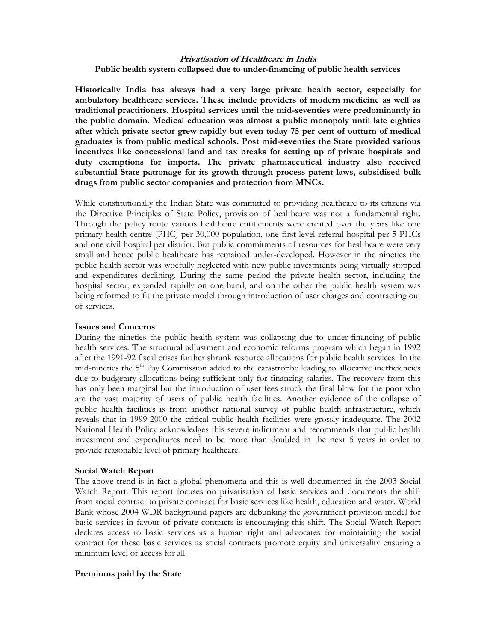# **Privatisation of Healthcare in India Public health system collapsed due to under-financing of public health services**

**Historically India has always had a very large private health sector, especially for ambulatory healthcare services. These include providers of modern medicine as well as traditional practitioners. Hospital services until the mid-seventies were predominantly in the public domain. Medical education was almost a public monopoly until late eighties after which private sector grew rapidly but even today 75 per cent of outturn of medical graduates is from public medical schools. Post mid-seventies the State provided various incentives like concessional land and tax breaks for setting up of private hospitals and duty exemptions for imports. The private pharmaceutical industry also received substantial State patronage for its growth through process patent laws, subsidised bulk drugs from public sector companies and protection from MNCs.** 

While constitutionally the Indian State was committed to providing healthcare to its citizens via the Directive Principles of State Policy, provision of healthcare was not a fundamental right. Through the policy route various healthcare entitlements were created over the years like one primary health centre (PHC) per 30,000 population, one first level referral hospital per 5 PHCs and one civil hospital per district. But public commitments of resources for healthcare were very small and hence public healthcare has remained under-developed. However in the nineties the public health sector was woefully neglected with new public investments being virtually stopped and expenditures declining. During the same period the private health sector, including the hospital sector, expanded rapidly on one hand, and on the other the public health system was being reformed to fit the private model through introduction of user charges and contracting out of services.

### **Issues and Concerns**

During the nineties the public health system was collapsing due to under-financing of public health services. The structural adjustment and economic reforms program which began in 1992 after the 1991-92 fiscal crises further shrunk resource allocations for public health services. In the mid-nineties the 5<sup>th</sup> Pay Commission added to the catastrophe leading to allocative inefficiencies due to budgetary allocations being sufficient only for financing salaries. The recovery from this has only been marginal but the introduction of user fees struck the final blow for the poor who are the vast majority of users of public health facilities. Another evidence of the collapse of public health facilities is from another national survey of public health infrastructure, which reveals that in 1999-2000 the critical public health facilities were grossly inadequate. The 2002 National Health Policy acknowledges this severe indictment and recommends that public health investment and expenditures need to be more than doubled in the next 5 years in order to provide reasonable level of primary healthcare.

### **Social Watch Report**

The above trend is in fact a global phenomena and this is well documented in the 2003 Social Watch Report. This report focuses on privatisation of basic services and documents the shift from social contract to private contract for basic services like health, education and water. World Bank whose 2004 WDR background papers are debunking the government provision model for basic services in favour of private contracts is encouraging this shift. The Social Watch Report declares access to basic services as a human right and advocates for maintaining the social contract for these basic services as social contracts promote equity and universality ensuring a minimum level of access for all.

### **Premiums paid by the State**